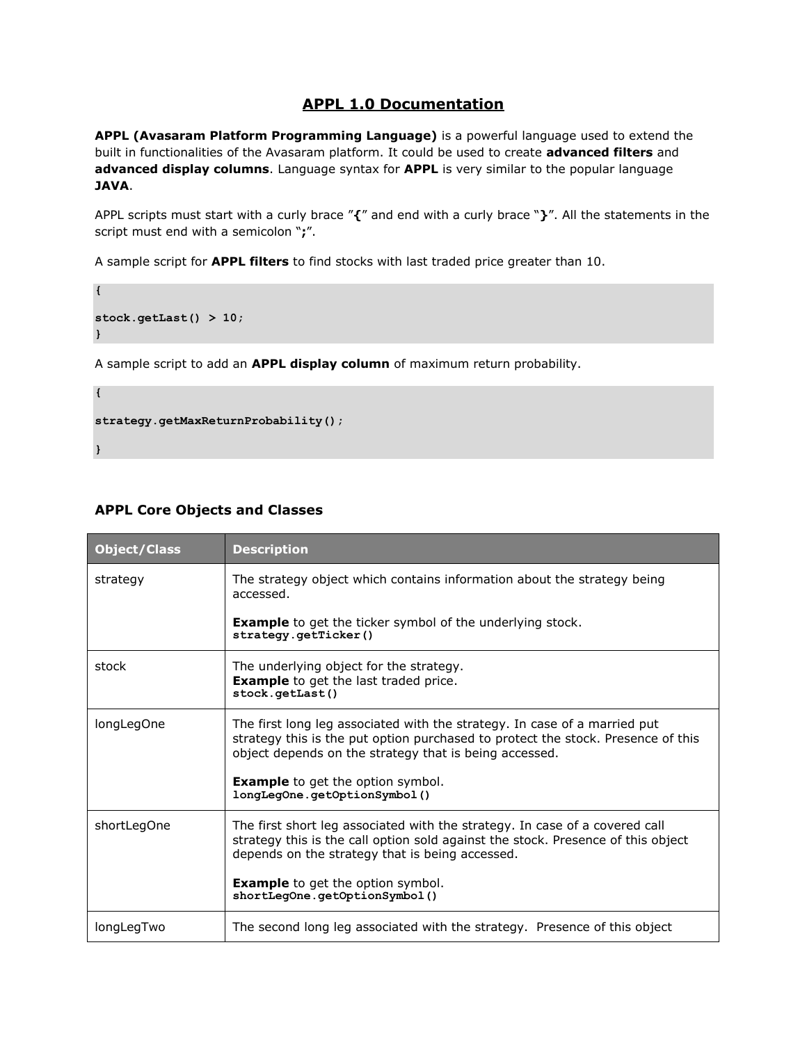### **APPL 1.0 Documentation**

**APPL (Avasaram Platform Programming Language)** is a powerful language used to extend the built in functionalities of the Avasaram platform. It could be used to create **advanced filters** and **advanced display columns**. Language syntax for **APPL** is very similar to the popular language **JAVA**.

APPL scripts must start with a curly brace "**{**" and end with a curly brace "**}**". All the statements in the script must end with a semicolon "**;**".

A sample script for **APPL filters** to find stocks with last traded price greater than 10.

```
stock.getLast() > 10;
}
```
A sample script to add an **APPL display column** of maximum return probability.

```
strategy.getMaxReturnProbability();
```
**}**

**{**

**{**

### **APPL Core Objects and Classes**

| <b>Object/Class</b> | <b>Description</b>                                                                                                                                                                                                      |
|---------------------|-------------------------------------------------------------------------------------------------------------------------------------------------------------------------------------------------------------------------|
| strategy            | The strategy object which contains information about the strategy being<br>accessed.                                                                                                                                    |
|                     | <b>Example</b> to get the ticker symbol of the underlying stock.<br>strategy.getTicker()                                                                                                                                |
| stock               | The underlying object for the strategy.<br><b>Example</b> to get the last traded price.<br>stock.getLast()                                                                                                              |
| longLegOne          | The first long leg associated with the strategy. In case of a married put<br>strategy this is the put option purchased to protect the stock. Presence of this<br>object depends on the strategy that is being accessed. |
|                     | <b>Example</b> to get the option symbol.<br>longLegOne.getOptionSymbol()                                                                                                                                                |
| shortLegOne         | The first short leg associated with the strategy. In case of a covered call<br>strategy this is the call option sold against the stock. Presence of this object<br>depends on the strategy that is being accessed.      |
|                     | <b>Example</b> to get the option symbol.<br>shortLeqOne.getOptionSymbol()                                                                                                                                               |
| longLegTwo          | The second long leg associated with the strategy. Presence of this object                                                                                                                                               |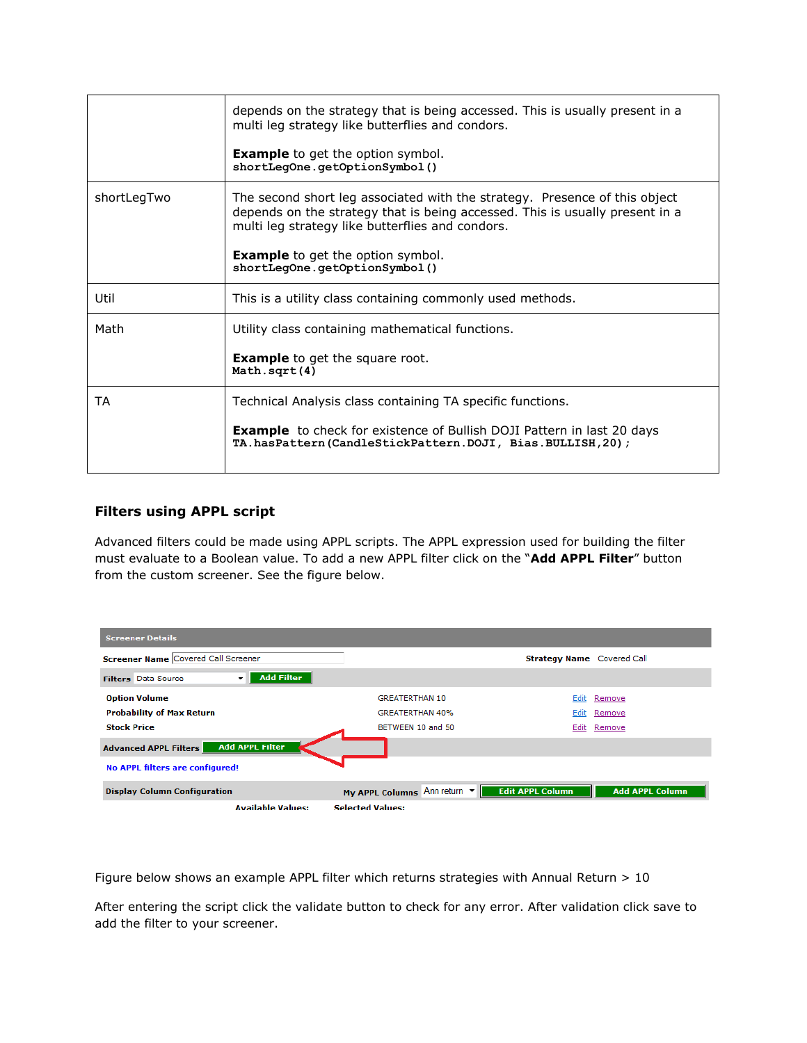|             | depends on the strategy that is being accessed. This is usually present in a<br>multi leg strategy like butterflies and condors.                                                                               |
|-------------|----------------------------------------------------------------------------------------------------------------------------------------------------------------------------------------------------------------|
|             | <b>Example</b> to get the option symbol.<br>shortLegOne.getOptionSymbol()                                                                                                                                      |
| shortLegTwo | The second short leg associated with the strategy. Presence of this object<br>depends on the strategy that is being accessed. This is usually present in a<br>multi leg strategy like butterflies and condors. |
|             | <b>Example</b> to get the option symbol.<br>shortLegOne.getOptionSymbol()                                                                                                                                      |
| Util        | This is a utility class containing commonly used methods.                                                                                                                                                      |
| Math        | Utility class containing mathematical functions.                                                                                                                                                               |
|             | <b>Example</b> to get the square root.<br>Math.sqrt(4)                                                                                                                                                         |
| ТA          | Technical Analysis class containing TA specific functions.                                                                                                                                                     |
|             | <b>Example</b> to check for existence of Bullish DOJI Pattern in last 20 days<br>TA.hasPattern(CandleStickPattern.DOJI, Bias.BULLISH, 20);                                                                     |

#### **Filters using APPL script**

Advanced filters could be made using APPL scripts. The APPL expression used for building the filter must evaluate to a Boolean value. To add a new APPL filter click on the "**Add APPL Filter**" button from the custom screener. See the figure below.



Figure below shows an example APPL filter which returns strategies with Annual Return > 10

After entering the script click the validate button to check for any error. After validation click save to add the filter to your screener.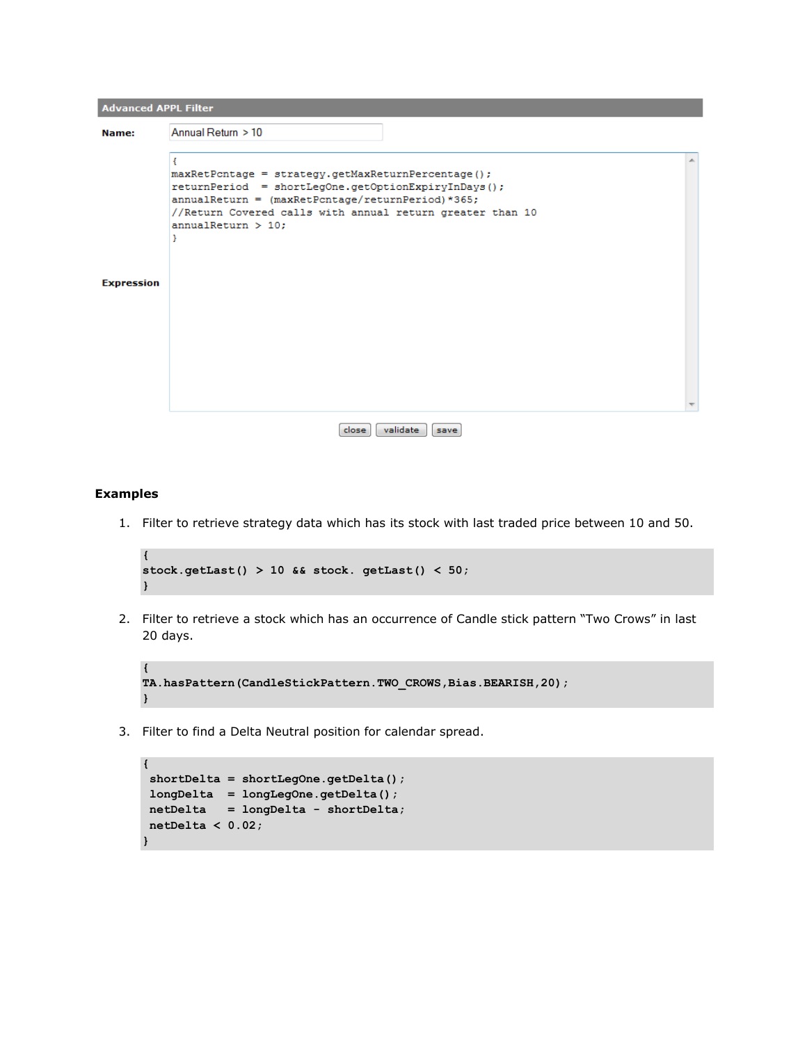| <b>Advanced APPL Filter</b> |                                                                                                                                                                                                                                                            |  |
|-----------------------------|------------------------------------------------------------------------------------------------------------------------------------------------------------------------------------------------------------------------------------------------------------|--|
| Name:                       | Annual Return > 10                                                                                                                                                                                                                                         |  |
| <b>Expression</b>           | maxRetPcntage = strategy.getMaxReturnPercentage();<br>returnPeriod = shortLegOne.getOptionExpiryInDays();<br>$annualReturn = (maxRetPortage/returnPeriod)*365;$<br>//Return Covered calls with annual return greater than 10<br>$annualReturn > 10$ :<br>Y |  |
|                             | validate<br>close<br>save                                                                                                                                                                                                                                  |  |

#### **Examples**

1. Filter to retrieve strategy data which has its stock with last traded price between 10 and 50.

```
{
stock.getLast() > 10 && stock. getLast() < 50;
}
```
2. Filter to retrieve a stock which has an occurrence of Candle stick pattern "Two Crows" in last 20 days.

```
{
TA.hasPattern(CandleStickPattern.TWO_CROWS,Bias.BEARISH,20);
}
```
3. Filter to find a Delta Neutral position for calendar spread.

```
{
shortDelta = shortLegOne.getDelta();
longDelta = longLegOne.getDelta();
netDelta = longDelta - shortDelta;
netDelta < 0.02;
}
```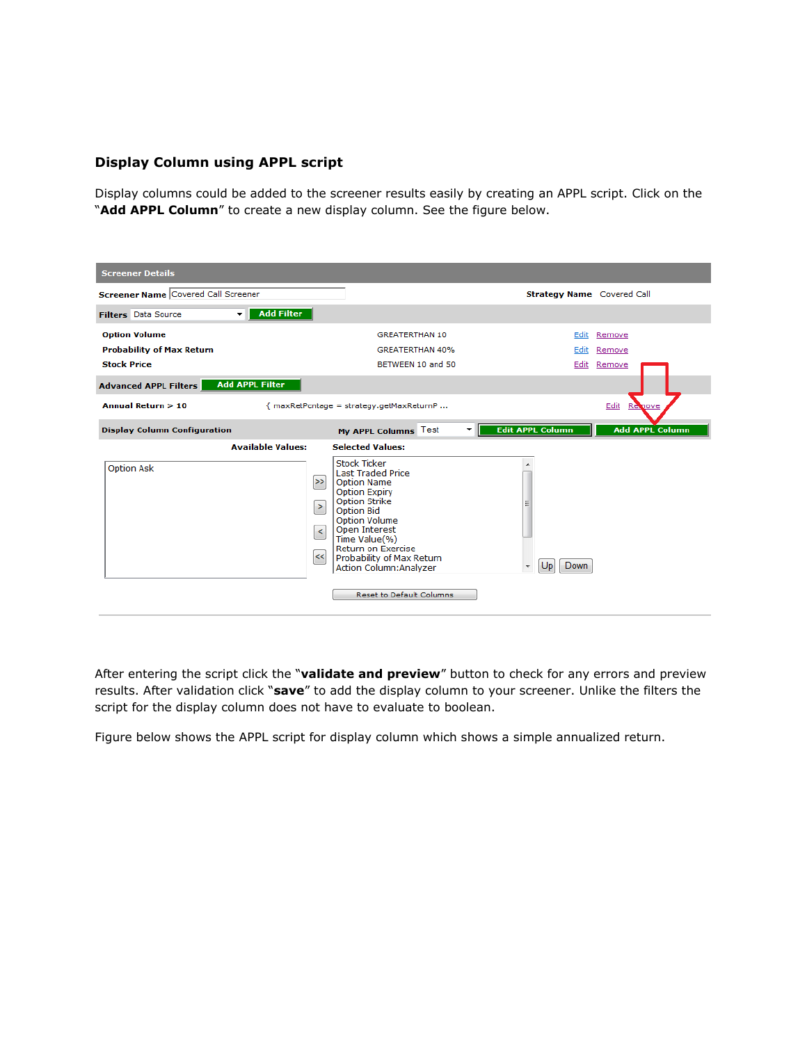#### **Display Column using APPL script**

Display columns could be added to the screener results easily by creating an APPL script. Click on the "**Add APPL Column**" to create a new display column. See the figure below.

| <b>Screener Details</b>                    |                                     |                                                                                                                                                                                                                                                                                                                |                                   |                        |
|--------------------------------------------|-------------------------------------|----------------------------------------------------------------------------------------------------------------------------------------------------------------------------------------------------------------------------------------------------------------------------------------------------------------|-----------------------------------|------------------------|
| <b>Screener Name Covered Call Screener</b> |                                     |                                                                                                                                                                                                                                                                                                                | <b>Strategy Name</b> Covered Call |                        |
| <b>Filters</b> Data Source<br>$\mathbf{v}$ | <b>Add Filter</b>                   |                                                                                                                                                                                                                                                                                                                |                                   |                        |
| <b>Option Volume</b>                       |                                     | <b>GREATERTHAN 10</b>                                                                                                                                                                                                                                                                                          | Edit                              | Remove                 |
| <b>Probability of Max Return</b>           |                                     | <b>GREATERTHAN 40%</b>                                                                                                                                                                                                                                                                                         | Edit                              | Remove                 |
| <b>Stock Price</b>                         |                                     | BETWEEN 10 and 50                                                                                                                                                                                                                                                                                              | Edit                              | Remove                 |
| <b>Advanced APPL Filters</b>               | <b>Add APPL Filter</b>              |                                                                                                                                                                                                                                                                                                                |                                   |                        |
| <b>Annual Return &gt; 10</b>               |                                     | { maxRetPcntage = strategy.getMaxReturnP                                                                                                                                                                                                                                                                       |                                   | Edit<br><b>Remove</b>  |
| <b>Display Column Configuration</b>        |                                     | My APPL Columns Test<br>▼                                                                                                                                                                                                                                                                                      | <b>Edit APPL Column</b>           | <b>Add APPL Column</b> |
|                                            | <b>Available Values:</b>            | <b>Selected Values:</b>                                                                                                                                                                                                                                                                                        |                                   |                        |
| <b>Option Ask</b>                          | $\geq$<br>$\, >$<br>$\prec$<br>$<<$ | <b>Stock Ticker</b><br><b>Last Traded Price</b><br>Option Name<br><b>Option Expiry</b><br><b>Option Strike</b><br><b>Option Bid</b><br><b>Option Volume</b><br>Open Interest<br>Time Value(%)<br>Return on Exercise<br>Probability of Max Return<br>Action Column: Analyzer<br><b>Reset to Default Columns</b> | Down<br>Up                        |                        |

After entering the script click the "**validate and preview**" button to check for any errors and preview results. After validation click "**save**" to add the display column to your screener. Unlike the filters the script for the display column does not have to evaluate to boolean.

Figure below shows the APPL script for display column which shows a simple annualized return.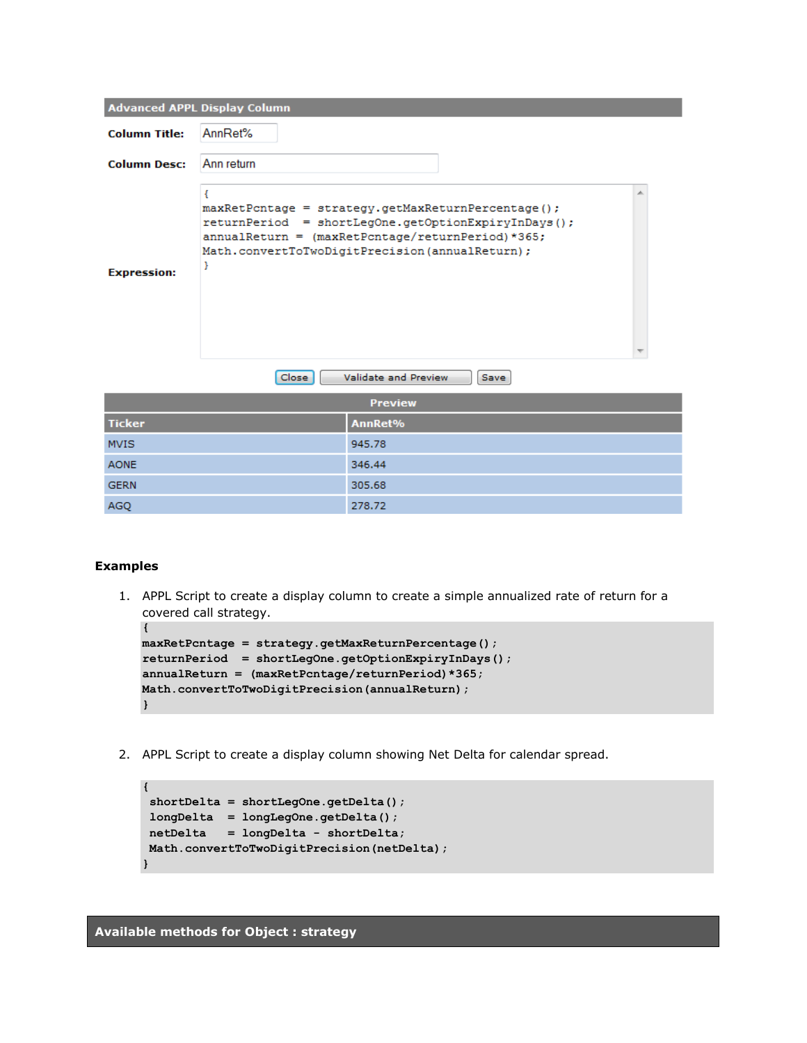|                      | <b>Advanced APPL Display Column</b> |                                                                                                                                                                                                                    |    |
|----------------------|-------------------------------------|--------------------------------------------------------------------------------------------------------------------------------------------------------------------------------------------------------------------|----|
| <b>Column Title:</b> | AnnRet%                             |                                                                                                                                                                                                                    |    |
| <b>Column Desc:</b>  | Ann return                          |                                                                                                                                                                                                                    |    |
| <b>Expression:</b>   | €<br>ŀ                              | $maxRetPortage = strategy.getMaxReturnPercentage()$<br>returnPeriod = shortLegOne.getOptionExpiryInDays();<br>$annualReturn = (maxRetPortage/returnPeriod)*365;$<br>Math.convertToTwoDigitPrecision(annualReturn); | ×. |
|                      | Close                               | Validate and Preview<br>Save                                                                                                                                                                                       |    |
|                      |                                     | <b>Preview</b>                                                                                                                                                                                                     |    |
| <b>Ticker</b>        |                                     | AnnRet%                                                                                                                                                                                                            |    |
| <b>MVIS</b>          |                                     | 945.78                                                                                                                                                                                                             |    |
| <b>AONE</b>          |                                     | 346.44                                                                                                                                                                                                             |    |
| <b>GERN</b>          |                                     | 305.68                                                                                                                                                                                                             |    |
| <b>AGO</b>           |                                     | 278.72                                                                                                                                                                                                             |    |

#### **Examples**

**{**

1. APPL Script to create a display column to create a simple annualized rate of return for a covered call strategy.

```
maxRetPcntage = strategy.getMaxReturnPercentage();
returnPeriod = shortLegOne.getOptionExpiryInDays();
annualReturn = (maxRetPcntage/returnPeriod)*365;
Math.convertToTwoDigitPrecision(annualReturn);
}
```
2. APPL Script to create a display column showing Net Delta for calendar spread.

```
{
shortDelta = shortLegOne.getDelta();
longDelta = longLegOne.getDelta();
netDelta = longDelta - shortDelta;
Math.convertToTwoDigitPrecision(netDelta);
}
```
**Available methods for Object : strategy**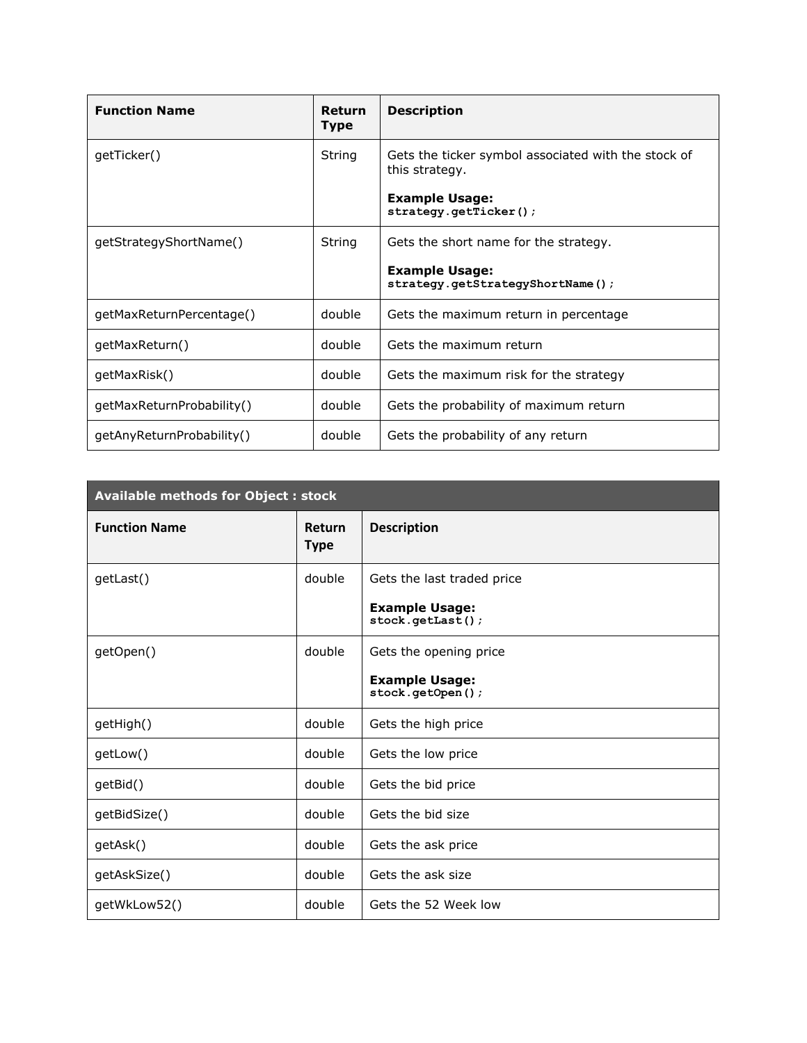| <b>Function Name</b>      | <b>Return</b><br><b>Type</b> | <b>Description</b>                                                    |
|---------------------------|------------------------------|-----------------------------------------------------------------------|
| getTicker()               | String                       | Gets the ticker symbol associated with the stock of<br>this strategy. |
|                           |                              | <b>Example Usage:</b><br>strategy.getTicker();                        |
| getStrategyShortName()    | String                       | Gets the short name for the strategy.                                 |
|                           |                              | <b>Example Usage:</b><br>strategy.getStrategyShortName();             |
| getMaxReturnPercentage()  | double                       | Gets the maximum return in percentage                                 |
| getMaxReturn()            | double                       | Gets the maximum return                                               |
| qetMaxRisk()              | double                       | Gets the maximum risk for the strategy                                |
| qetMaxReturnProbability() | double                       | Gets the probability of maximum return                                |
| getAnyReturnProbability() | double                       | Gets the probability of any return                                    |

| <b>Available methods for Object: stock</b> |                              |                                           |  |  |
|--------------------------------------------|------------------------------|-------------------------------------------|--|--|
| <b>Function Name</b>                       | <b>Return</b><br><b>Type</b> | <b>Description</b>                        |  |  |
| getLast()                                  | double                       | Gets the last traded price                |  |  |
|                                            |                              | <b>Example Usage:</b><br>stock.getLast(); |  |  |
| getOpen()                                  | double                       | Gets the opening price                    |  |  |
|                                            |                              | <b>Example Usage:</b><br>stock.getOpen(); |  |  |
| getHigh()                                  | double                       | Gets the high price                       |  |  |
| getLow()                                   | double                       | Gets the low price                        |  |  |
| getBid()                                   | double                       | Gets the bid price                        |  |  |
| getBidSize()                               | double                       | Gets the bid size                         |  |  |
| getAsk()                                   | double                       | Gets the ask price                        |  |  |
| getAskSize()                               | double                       | Gets the ask size                         |  |  |
| getWkLow52()                               | double                       | Gets the 52 Week low                      |  |  |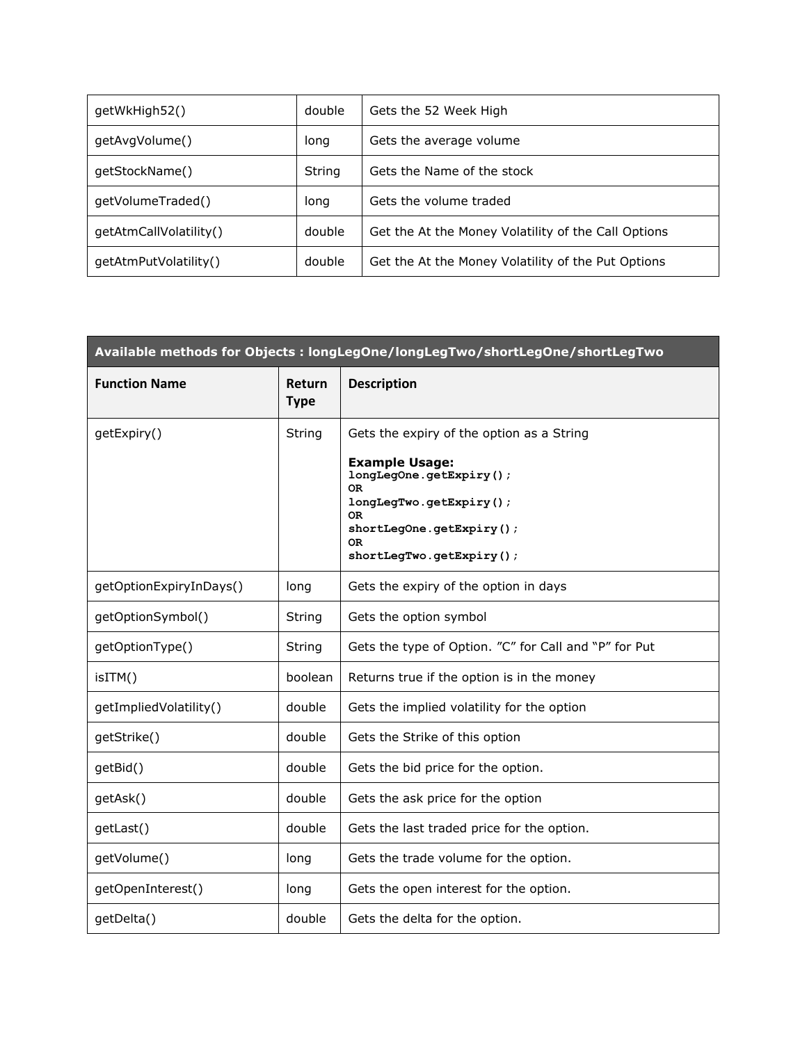| getWkHigh52()          | double | Gets the 52 Week High                               |
|------------------------|--------|-----------------------------------------------------|
| getAvgVolume()         | long   | Gets the average volume                             |
| qetStockName()         | String | Gets the Name of the stock                          |
| getVolumeTraded()      | long   | Gets the volume traded                              |
| qetAtmCallVolatility() | double | Get the At the Money Volatility of the Call Options |
| qetAtmPutVolatility()  | double | Get the At the Money Volatility of the Put Options  |

| Available methods for Objects : longLegOne/longLegTwo/shortLegOne/shortLegTwo |                       |                                                                                                                                                                            |  |  |
|-------------------------------------------------------------------------------|-----------------------|----------------------------------------------------------------------------------------------------------------------------------------------------------------------------|--|--|
| <b>Function Name</b>                                                          | Return<br><b>Type</b> | <b>Description</b>                                                                                                                                                         |  |  |
| getExpiry()                                                                   | String                | Gets the expiry of the option as a String                                                                                                                                  |  |  |
|                                                                               |                       | <b>Example Usage:</b><br>longLegOne.getExpiry();<br><b>OR</b><br>longLegTwo.getExpiry();<br><b>OR</b><br>shortLegOne.getExpiry();<br><b>OR</b><br>shortLegTwo.getExpiry(); |  |  |
| getOptionExpiryInDays()                                                       | long                  | Gets the expiry of the option in days                                                                                                                                      |  |  |
| getOptionSymbol()                                                             | String                | Gets the option symbol                                                                                                                                                     |  |  |
| getOptionType()                                                               | String                | Gets the type of Option. "C" for Call and "P" for Put                                                                                                                      |  |  |
| isITM()                                                                       | boolean               | Returns true if the option is in the money                                                                                                                                 |  |  |
| getImpliedVolatility()                                                        | double                | Gets the implied volatility for the option                                                                                                                                 |  |  |
| getStrike()                                                                   | double                | Gets the Strike of this option                                                                                                                                             |  |  |
| getBid()                                                                      | double                | Gets the bid price for the option.                                                                                                                                         |  |  |
| getAsk()                                                                      | double                | Gets the ask price for the option                                                                                                                                          |  |  |
| getLast()                                                                     | double                | Gets the last traded price for the option.                                                                                                                                 |  |  |
| getVolume()                                                                   | long                  | Gets the trade volume for the option.                                                                                                                                      |  |  |
| getOpenInterest()                                                             | long                  | Gets the open interest for the option.                                                                                                                                     |  |  |
| getDelta()                                                                    | double                | Gets the delta for the option.                                                                                                                                             |  |  |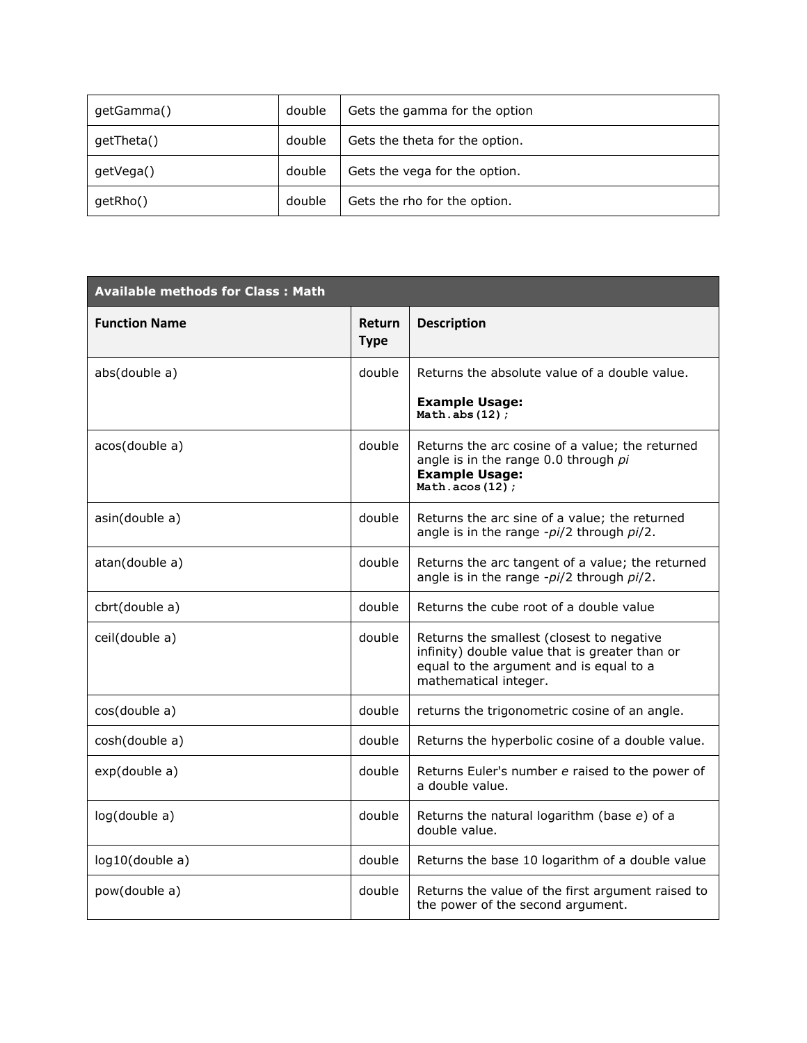| getGamma() | double | Gets the gamma for the option  |  |  |
|------------|--------|--------------------------------|--|--|
| getTheta() | double | Gets the theta for the option. |  |  |
| getVega()  | double | Gets the vega for the option.  |  |  |
| getRho()   | double | Gets the rho for the option.   |  |  |

| <b>Available methods for Class: Math</b> |                              |                                                                                                                                                                 |  |  |
|------------------------------------------|------------------------------|-----------------------------------------------------------------------------------------------------------------------------------------------------------------|--|--|
| <b>Function Name</b>                     | <b>Return</b><br><b>Type</b> | <b>Description</b>                                                                                                                                              |  |  |
| abs(double a)                            | double                       | Returns the absolute value of a double value.                                                                                                                   |  |  |
|                                          |                              | <b>Example Usage:</b><br>Math.abs $(12)$ ;                                                                                                                      |  |  |
| acos(double a)                           | double                       | Returns the arc cosine of a value; the returned<br>angle is in the range 0.0 through pi<br><b>Example Usage:</b><br>Math.acos $(12)$ ;                          |  |  |
| asin(double a)                           | double                       | Returns the arc sine of a value; the returned<br>angle is in the range -pi/2 through pi/2.                                                                      |  |  |
| atan(double a)                           | double                       | Returns the arc tangent of a value; the returned<br>angle is in the range -pi/2 through pi/2.                                                                   |  |  |
| cbrt(double a)                           | double                       | Returns the cube root of a double value                                                                                                                         |  |  |
| ceil(double a)                           | double                       | Returns the smallest (closest to negative<br>infinity) double value that is greater than or<br>equal to the argument and is equal to a<br>mathematical integer. |  |  |
| cos(double a)                            | double                       | returns the trigonometric cosine of an angle.                                                                                                                   |  |  |
| cosh(double a)                           | double                       | Returns the hyperbolic cosine of a double value.                                                                                                                |  |  |
| exp(double a)                            | double                       | Returns Euler's number e raised to the power of<br>a double value.                                                                                              |  |  |
| log(double a)                            | double                       | Returns the natural logarithm (base e) of a<br>double value.                                                                                                    |  |  |
| log10(double a)                          | double                       | Returns the base 10 logarithm of a double value                                                                                                                 |  |  |
| pow(double a)                            | double                       | Returns the value of the first argument raised to<br>the power of the second argument.                                                                          |  |  |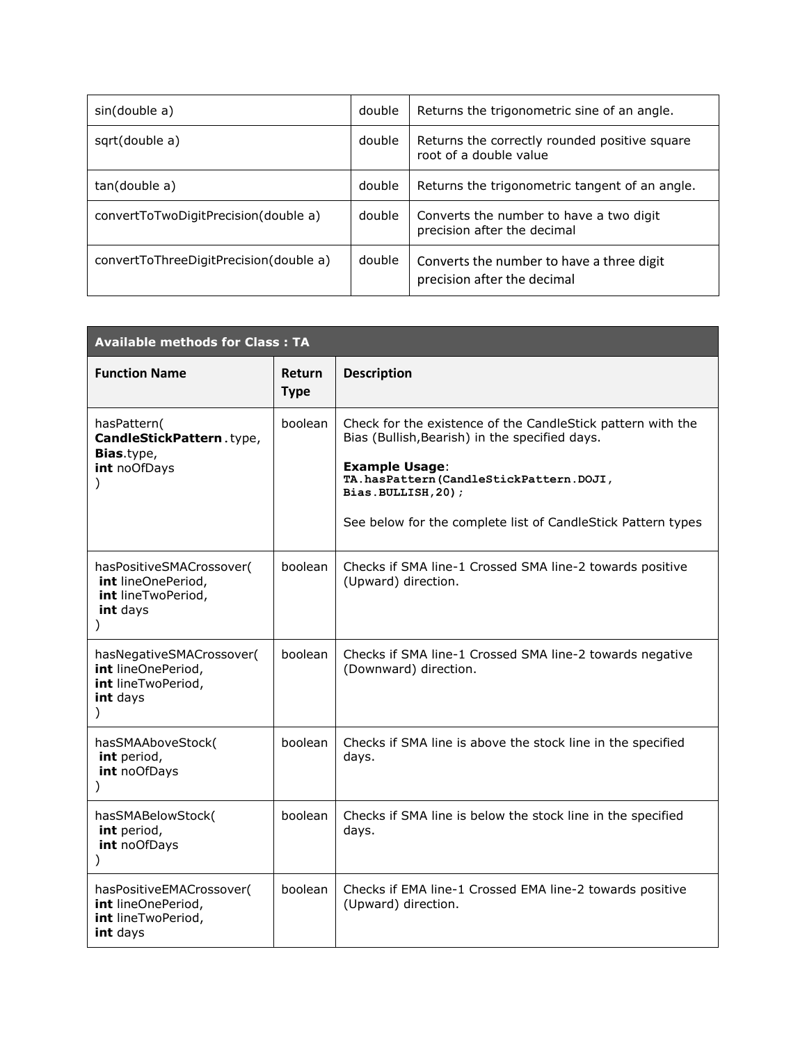| sin(double a)                          | double | Returns the trigonometric sine of an angle.                              |
|----------------------------------------|--------|--------------------------------------------------------------------------|
| sqrt(double a)                         | double | Returns the correctly rounded positive square<br>root of a double value  |
| tan(double a)                          | double | Returns the trigonometric tangent of an angle.                           |
| convertToTwoDigitPrecision(double a)   | double | Converts the number to have a two digit<br>precision after the decimal   |
| convertToThreeDigitPrecision(double a) | double | Converts the number to have a three digit<br>precision after the decimal |

| <b>Available methods for Class: TA</b>                                                            |                              |                                                                                                                                                                                                                                                                        |
|---------------------------------------------------------------------------------------------------|------------------------------|------------------------------------------------------------------------------------------------------------------------------------------------------------------------------------------------------------------------------------------------------------------------|
| <b>Function Name</b>                                                                              | <b>Return</b><br><b>Type</b> | <b>Description</b>                                                                                                                                                                                                                                                     |
| hasPattern(<br>CandleStickPattern.type,<br><b>Bias.type,</b><br>int noOfDays<br>$\mathcal{E}$     | boolean                      | Check for the existence of the CandleStick pattern with the<br>Bias (Bullish, Bearish) in the specified days.<br><b>Example Usage:</b><br>TA.hasPattern(CandleStickPattern.DOJI,<br>Bias.BULLISH, 20);<br>See below for the complete list of CandleStick Pattern types |
| hasPositiveSMACrossover(<br>int lineOnePeriod,<br>int lineTwoPeriod,<br>int days<br>$\mathcal{E}$ | boolean                      | Checks if SMA line-1 Crossed SMA line-2 towards positive<br>(Upward) direction.                                                                                                                                                                                        |
| hasNegativeSMACrossover(<br>int lineOnePeriod,<br>int lineTwoPeriod,<br>int days<br>$\lambda$     | boolean                      | Checks if SMA line-1 Crossed SMA line-2 towards negative<br>(Downward) direction.                                                                                                                                                                                      |
| hasSMAAboveStock(<br>int period,<br>int noOfDays                                                  | boolean                      | Checks if SMA line is above the stock line in the specified<br>days.                                                                                                                                                                                                   |
| hasSMABelowStock(<br>int period,<br>int noOfDays                                                  | boolean                      | Checks if SMA line is below the stock line in the specified<br>days.                                                                                                                                                                                                   |
| hasPositiveEMACrossover(<br>int lineOnePeriod,<br>int lineTwoPeriod,<br>int days                  | boolean                      | Checks if EMA line-1 Crossed EMA line-2 towards positive<br>(Upward) direction.                                                                                                                                                                                        |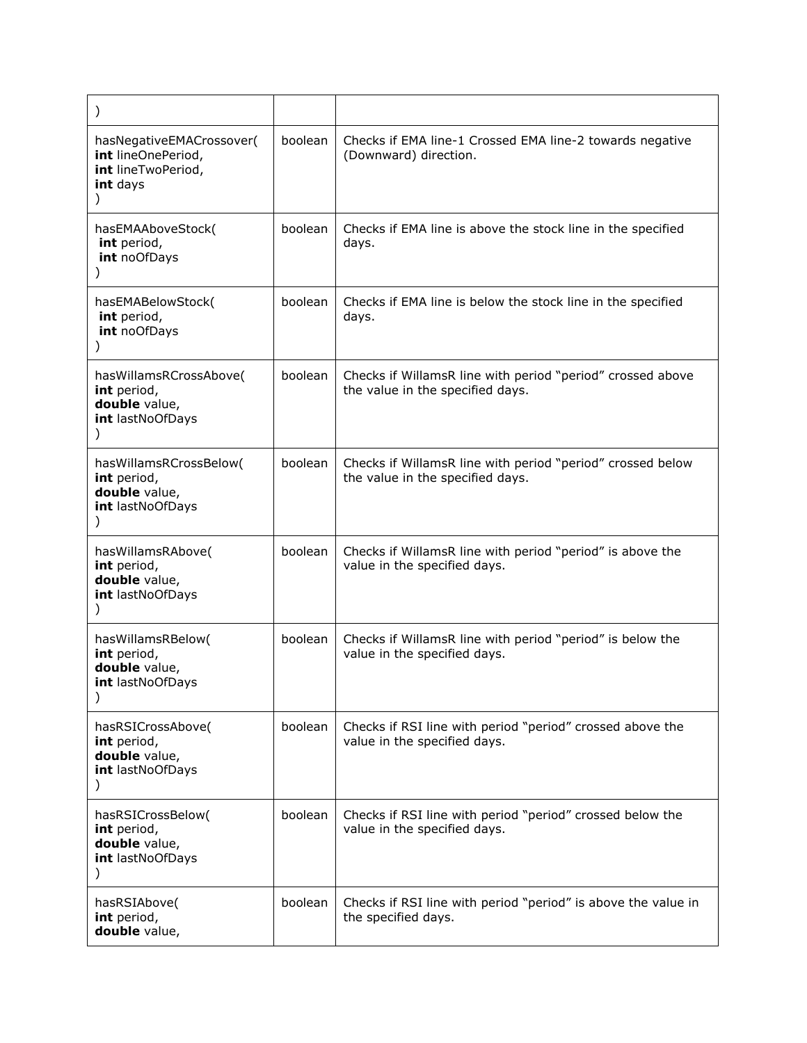| $\mathcal{C}$                                                                           |         |                                                                                                |
|-----------------------------------------------------------------------------------------|---------|------------------------------------------------------------------------------------------------|
| hasNegativeEMACrossover(<br>int lineOnePeriod,<br>int lineTwoPeriod,<br>int days        | boolean | Checks if EMA line-1 Crossed EMA line-2 towards negative<br>(Downward) direction.              |
| hasEMAAboveStock(<br>int period,<br>int noOfDays                                        | boolean | Checks if EMA line is above the stock line in the specified<br>days.                           |
| hasEMABelowStock(<br>int period,<br>int noOfDays<br>$\mathcal{C}$                       | boolean | Checks if EMA line is below the stock line in the specified<br>days.                           |
| hasWillamsRCrossAbove(<br>int period,<br>double value,<br>int lastNoOfDays              | boolean | Checks if WillamsR line with period "period" crossed above<br>the value in the specified days. |
| hasWillamsRCrossBelow(<br>int period,<br>double value,<br>int lastNoOfDays<br>$\lambda$ | boolean | Checks if WillamsR line with period "period" crossed below<br>the value in the specified days. |
| hasWillamsRAbove(<br>int period,<br>double value,<br>int lastNoOfDays                   | boolean | Checks if WillamsR line with period "period" is above the<br>value in the specified days.      |
| hasWillamsRBelow(<br>int period,<br>double value,<br>int lastNoOfDays                   | boolean | Checks if WillamsR line with period "period" is below the<br>value in the specified days.      |
| hasRSICrossAbove(<br>int period,<br>double value,<br>int lastNoOfDays                   | boolean | Checks if RSI line with period "period" crossed above the<br>value in the specified days.      |
| hasRSICrossBelow(<br>int period,<br>double value,<br>int lastNoOfDays<br>$\lambda$      | boolean | Checks if RSI line with period "period" crossed below the<br>value in the specified days.      |
| hasRSIAbove(<br>int period,<br>double value,                                            | boolean | Checks if RSI line with period "period" is above the value in<br>the specified days.           |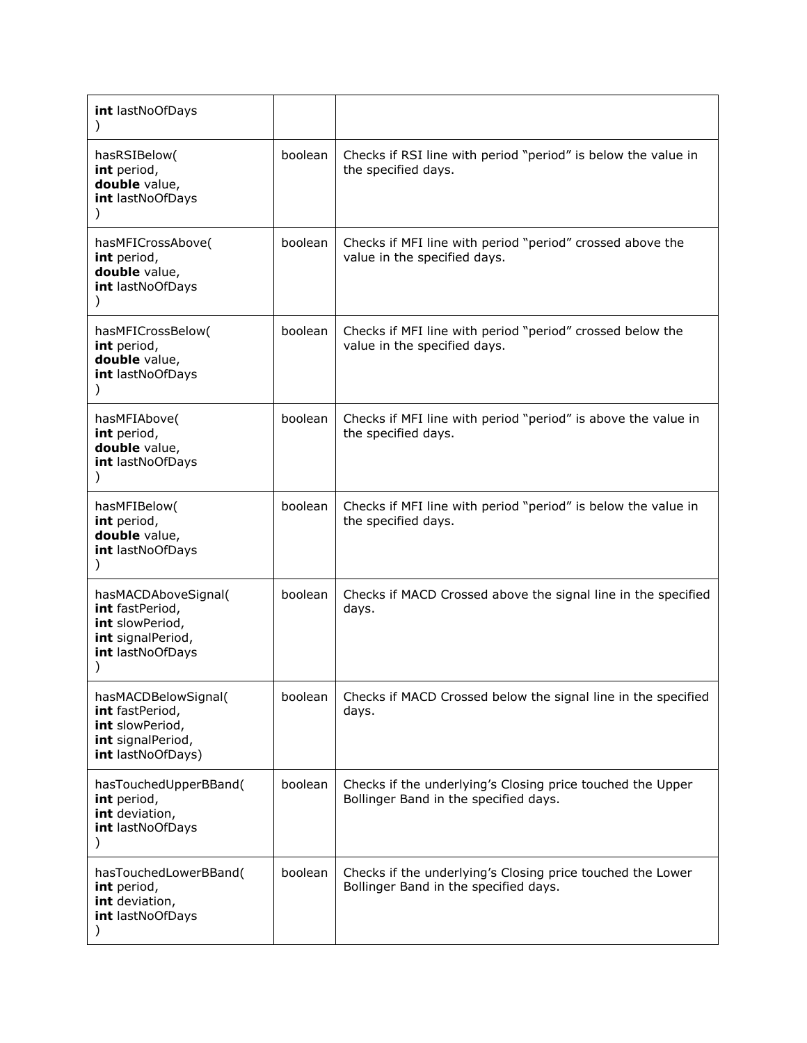| int lastNoOfDays<br>$\lambda$                                                                       |         |                                                                                                     |
|-----------------------------------------------------------------------------------------------------|---------|-----------------------------------------------------------------------------------------------------|
| hasRSIBelow(<br>int period,<br>double value,<br>int lastNoOfDays                                    | boolean | Checks if RSI line with period "period" is below the value in<br>the specified days.                |
| hasMFICrossAbove(<br>int period,<br>double value,<br>int lastNoOfDays                               | boolean | Checks if MFI line with period "period" crossed above the<br>value in the specified days.           |
| hasMFICrossBelow(<br>int period,<br>double value,<br>int lastNoOfDays                               | boolean | Checks if MFI line with period "period" crossed below the<br>value in the specified days.           |
| hasMFIAbove(<br>int period,<br>double value,<br>int lastNoOfDays                                    | boolean | Checks if MFI line with period "period" is above the value in<br>the specified days.                |
| hasMFIBelow(<br>int period,<br>double value,<br>int lastNoOfDays                                    | boolean | Checks if MFI line with period "period" is below the value in<br>the specified days.                |
| hasMACDAboveSignal(<br>int fastPeriod,<br>int slowPeriod,<br>int signalPeriod,<br>int lastNoOfDays  | boolean | Checks if MACD Crossed above the signal line in the specified<br>days.                              |
| hasMACDBelowSignal(<br>int fastPeriod,<br>int slowPeriod,<br>int signalPeriod,<br>int lastNoOfDays) | boolean | Checks if MACD Crossed below the signal line in the specified<br>days.                              |
| hasTouchedUpperBBand(<br>int period,<br>int deviation,<br>int lastNoOfDays                          | boolean | Checks if the underlying's Closing price touched the Upper<br>Bollinger Band in the specified days. |
| hasTouchedLowerBBand(<br>int period,<br>int deviation,<br>int lastNoOfDays<br>$\mathcal{Y}$         | boolean | Checks if the underlying's Closing price touched the Lower<br>Bollinger Band in the specified days. |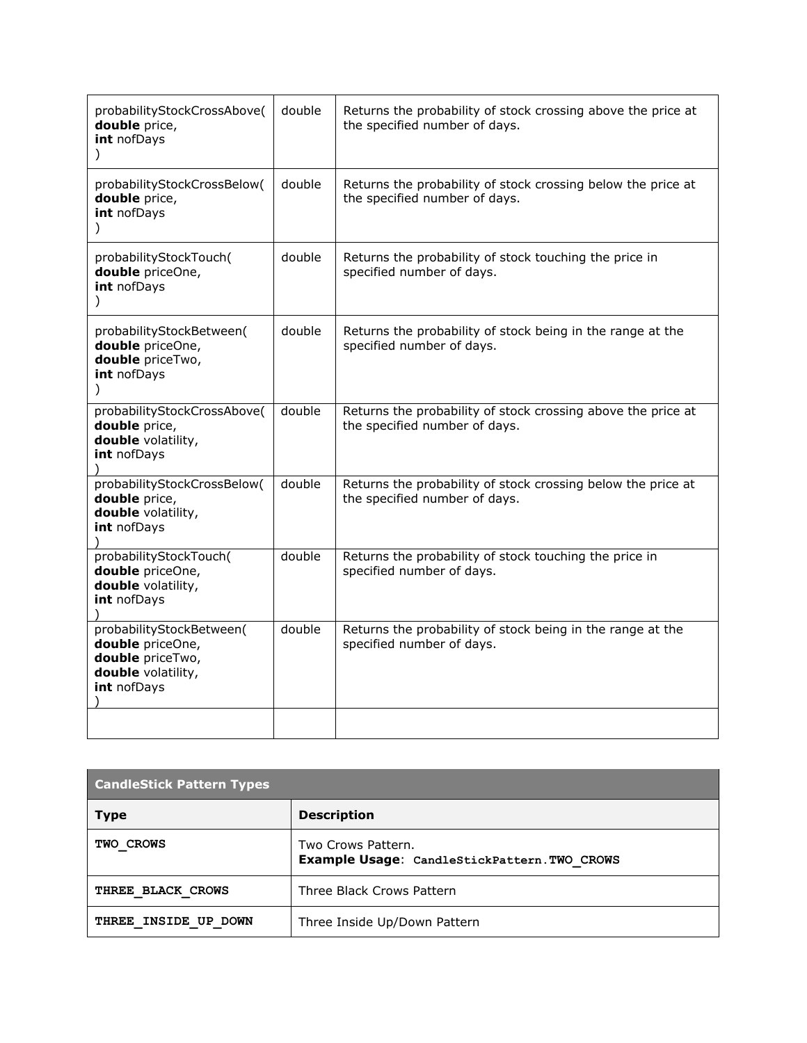| probabilityStockCrossAbove(<br>double price,<br>int nofDays                                           | double | Returns the probability of stock crossing above the price at<br>the specified number of days. |
|-------------------------------------------------------------------------------------------------------|--------|-----------------------------------------------------------------------------------------------|
| probabilityStockCrossBelow(<br>double price,<br>int nofDays<br>$\mathcal{C}$                          | double | Returns the probability of stock crossing below the price at<br>the specified number of days. |
| probabilityStockTouch(<br>double priceOne,<br>int nofDays<br>$\mathcal{L}$                            | double | Returns the probability of stock touching the price in<br>specified number of days.           |
| probabilityStockBetween(<br>double priceOne,<br>double priceTwo,<br>int nofDays<br>$\mathcal{C}$      | double | Returns the probability of stock being in the range at the<br>specified number of days.       |
| probabilityStockCrossAbove(<br>double price,<br>double volatility,<br>int nofDays                     | double | Returns the probability of stock crossing above the price at<br>the specified number of days. |
| probabilityStockCrossBelow(<br>double price,<br>double volatility,<br>int nofDays                     | double | Returns the probability of stock crossing below the price at<br>the specified number of days. |
| probabilityStockTouch(<br>double priceOne,<br>double volatility,<br>int nofDays                       | double | Returns the probability of stock touching the price in<br>specified number of days.           |
| probabilityStockBetween(<br>double priceOne,<br>double priceTwo,<br>double volatility,<br>int nofDays | double | Returns the probability of stock being in the range at the<br>specified number of days.       |
|                                                                                                       |        |                                                                                               |

| <b>CandleStick Pattern Types</b> |                                                                    |  |
|----------------------------------|--------------------------------------------------------------------|--|
| <b>Type</b>                      | <b>Description</b>                                                 |  |
| TWO CROWS                        | Two Crows Pattern.<br>Example Usage: CandleStickPattern. TWO CROWS |  |
| THREE BLACK CROWS                | Three Black Crows Pattern                                          |  |
| THREE INSIDE UP DOWN             | Three Inside Up/Down Pattern                                       |  |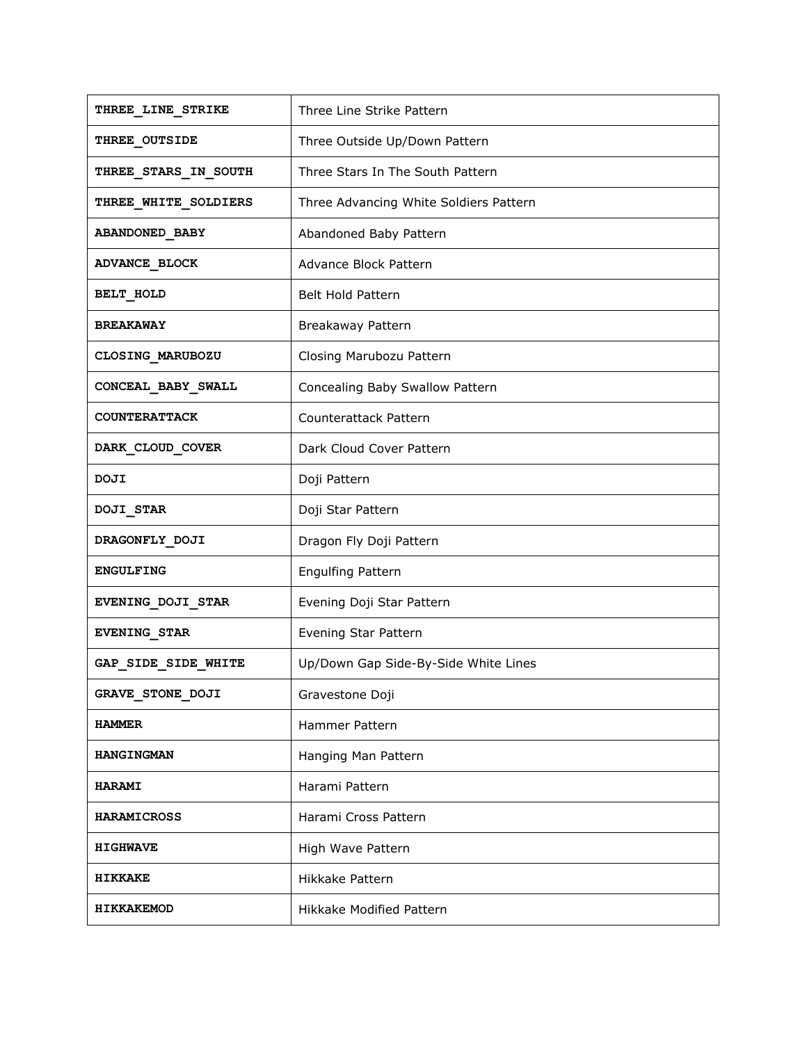| THREE LINE STRIKE           | Three Line Strike Pattern              |
|-----------------------------|----------------------------------------|
| THREE_OUTSIDE               | Three Outside Up/Down Pattern          |
| <b>THREE_STARS_IN_SOUTH</b> | Three Stars In The South Pattern       |
| <b>THREE_WHITE_SOLDIERS</b> | Three Advancing White Soldiers Pattern |
| <b>ABANDONED BABY</b>       | Abandoned Baby Pattern                 |
| <b>ADVANCE BLOCK</b>        | Advance Block Pattern                  |
| BELT_HOLD                   | Belt Hold Pattern                      |
| <b>BREAKAWAY</b>            | Breakaway Pattern                      |
| CLOSING_MARUBOZU            | Closing Marubozu Pattern               |
| CONCEAL BABY SWALL          | Concealing Baby Swallow Pattern        |
| <b>COUNTERATTACK</b>        | Counterattack Pattern                  |
| DARK_CLOUD_COVER            | Dark Cloud Cover Pattern               |
| DOJI                        | Doji Pattern                           |
| <b>DOJI_STAR</b>            | Doji Star Pattern                      |
| DRAGONFLY_DOJI              | Dragon Fly Doji Pattern                |
| <b>ENGULFING</b>            | <b>Engulfing Pattern</b>               |
| EVENING_DOJI_STAR           | Evening Doji Star Pattern              |
| <b>EVENING STAR</b>         | Evening Star Pattern                   |
| GAP SIDE SIDE WHITE         | Up/Down Gap Side-By-Side White Lines   |
| GRAVE STONE DOJI            | Gravestone Doji                        |
| <b>HAMMER</b>               | Hammer Pattern                         |
| <b>HANGINGMAN</b>           | Hanging Man Pattern                    |
| <b>HARAMI</b>               | Harami Pattern                         |
| <b>HARAMICROSS</b>          | Harami Cross Pattern                   |
| <b>HIGHWAVE</b>             | High Wave Pattern                      |
| <b>HIKKAKE</b>              | Hikkake Pattern                        |
| HIKKAKEMOD                  | <b>Hikkake Modified Pattern</b>        |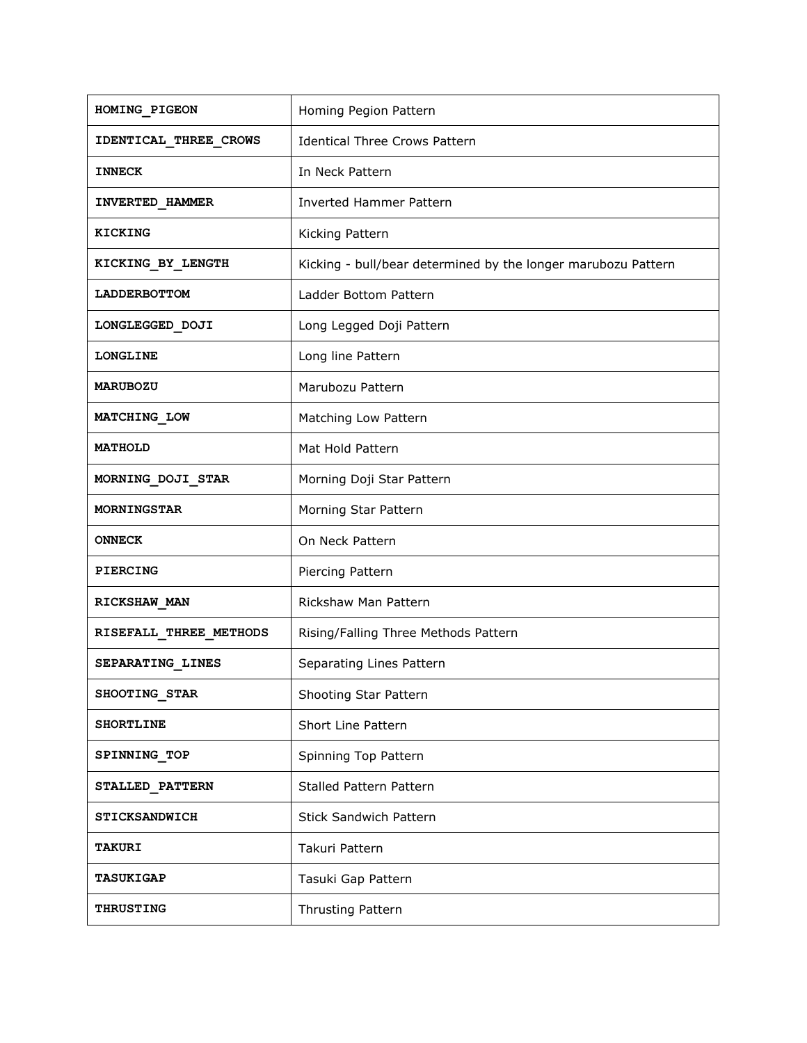| HOMING_PIGEON          | Homing Pegion Pattern                                         |
|------------------------|---------------------------------------------------------------|
| IDENTICAL THREE CROWS  | <b>Identical Three Crows Pattern</b>                          |
| <b>INNECK</b>          | In Neck Pattern                                               |
| INVERTED_HAMMER        | <b>Inverted Hammer Pattern</b>                                |
| <b>KICKING</b>         | Kicking Pattern                                               |
| KICKING BY LENGTH      | Kicking - bull/bear determined by the longer marubozu Pattern |
| LADDERBOTTOM           | Ladder Bottom Pattern                                         |
| LONGLEGGED_DOJI        | Long Legged Doji Pattern                                      |
| <b>LONGLINE</b>        | Long line Pattern                                             |
| <b>MARUBOZU</b>        | Marubozu Pattern                                              |
| MATCHING LOW           | Matching Low Pattern                                          |
| <b>MATHOLD</b>         | Mat Hold Pattern                                              |
| MORNING DOJI STAR      | Morning Doji Star Pattern                                     |
| <b>MORNINGSTAR</b>     | Morning Star Pattern                                          |
| <b>ONNECK</b>          | On Neck Pattern                                               |
| <b>PIERCING</b>        | Piercing Pattern                                              |
| RICKSHAW MAN           | Rickshaw Man Pattern                                          |
| RISEFALL THREE METHODS | Rising/Falling Three Methods Pattern                          |
| SEPARATING_LINES       | Separating Lines Pattern                                      |
| SHOOTING STAR          | Shooting Star Pattern                                         |
| <b>SHORTLINE</b>       | Short Line Pattern                                            |
| SPINNING TOP           | Spinning Top Pattern                                          |
| STALLED_PATTERN        | <b>Stalled Pattern Pattern</b>                                |
| <b>STICKSANDWICH</b>   | <b>Stick Sandwich Pattern</b>                                 |
| <b>TAKURI</b>          | Takuri Pattern                                                |
| <b>TASUKIGAP</b>       | Tasuki Gap Pattern                                            |
| <b>THRUSTING</b>       | Thrusting Pattern                                             |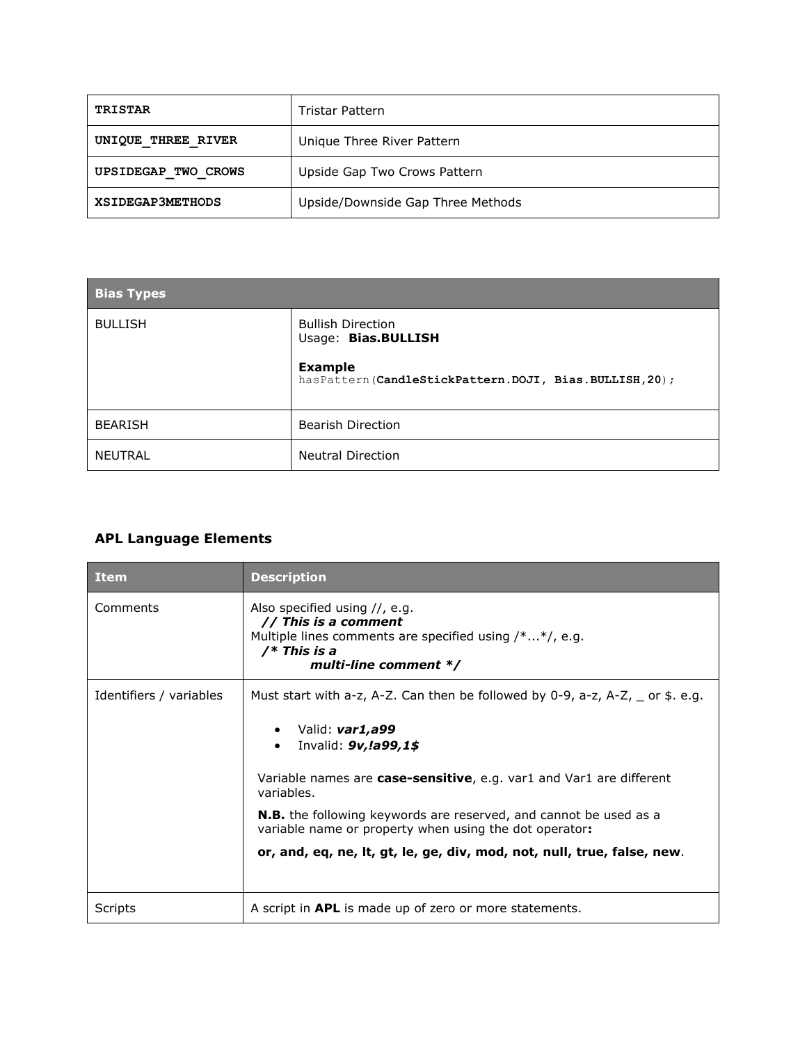| TRISTAR                 | Tristar Pattern                   |
|-------------------------|-----------------------------------|
| UNIQUE THREE RIVER      | Unique Three River Pattern        |
| UPSIDEGAP TWO CROWS     | Upside Gap Two Crows Pattern      |
| <b>XSIDEGAP3METHODS</b> | Upside/Downside Gap Three Methods |

| <b>Bias Types</b> |                                                                         |
|-------------------|-------------------------------------------------------------------------|
| <b>BULLISH</b>    | <b>Bullish Direction</b><br>Usage: Bias.BULLISH                         |
|                   | <b>Example</b><br>hasPattern(CandleStickPattern.DOJI, Bias.BULLISH,20); |
| <b>BEARISH</b>    | <b>Bearish Direction</b>                                                |
| <b>NEUTRAL</b>    | <b>Neutral Direction</b>                                                |

# **APL Language Elements**

| <b>Item</b>             | <b>Description</b>                                                                                                                                                                                                                                                                                                                                                                                                                                         |
|-------------------------|------------------------------------------------------------------------------------------------------------------------------------------------------------------------------------------------------------------------------------------------------------------------------------------------------------------------------------------------------------------------------------------------------------------------------------------------------------|
| Comments                | Also specified using $//$ , e.g.<br>// This is a comment<br>Multiple lines comments are specified using /**/, e.g.<br>$/*$ This is a<br>multi-line comment */                                                                                                                                                                                                                                                                                              |
| Identifiers / variables | Must start with a-z, A-Z. Can then be followed by 0-9, a-z, A-Z, $\equiv$ or \$. e.g.<br>Valid: var1,a99<br>٠<br>Invalid: 9v, !a99, 1\$<br>$\bullet$<br>Variable names are case-sensitive, e.g. var1 and Var1 are different<br>variables.<br><b>N.B.</b> the following keywords are reserved, and cannot be used as a<br>variable name or property when using the dot operator:<br>or, and, eq, ne, lt, gt, le, ge, div, mod, not, null, true, false, new. |
| Scripts                 | A script in <b>APL</b> is made up of zero or more statements.                                                                                                                                                                                                                                                                                                                                                                                              |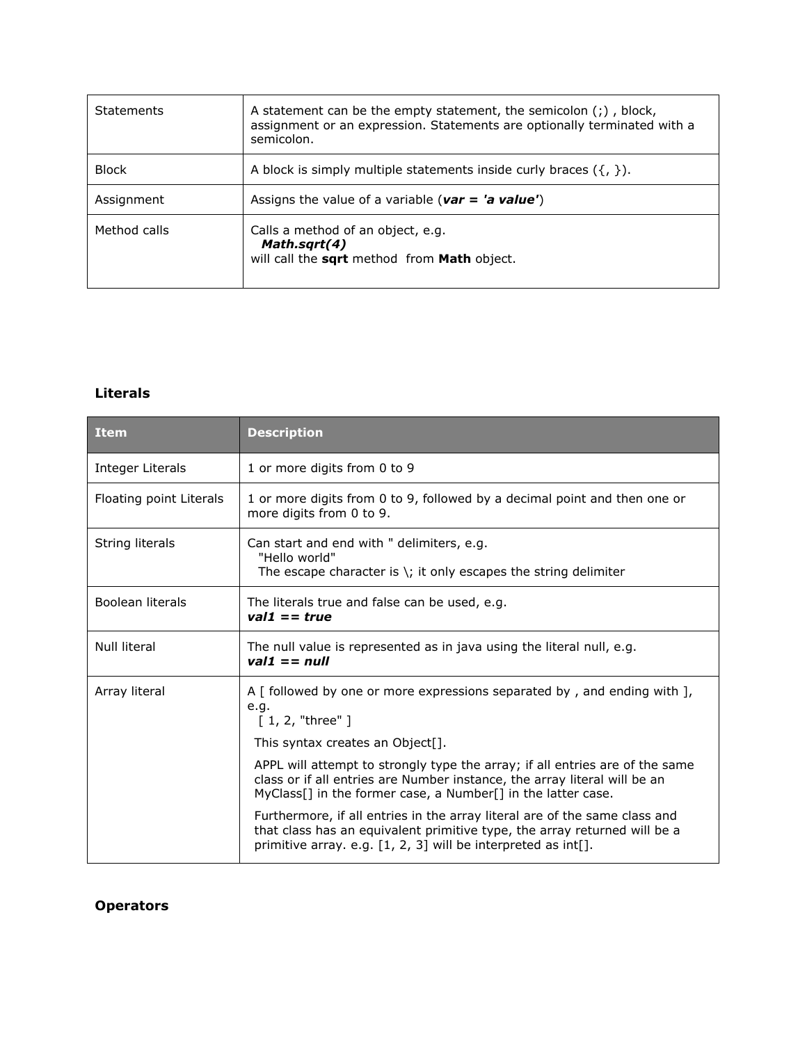| <b>Statements</b> | A statement can be the empty statement, the semicolon $($ ; $)$ , block,<br>assignment or an expression. Statements are optionally terminated with a<br>semicolon. |
|-------------------|--------------------------------------------------------------------------------------------------------------------------------------------------------------------|
| <b>Block</b>      | A block is simply multiple statements inside curly braces $({}, )$ ).                                                                                              |
| Assignment        | Assigns the value of a variable ( $var = 'a value'$ )                                                                                                              |
| Method calls      | Calls a method of an object, e.g.<br>Math.sqrt(4)<br>will call the sqrt method from Math object.                                                                   |

#### **Literals**

| <b>Item</b>             | <b>Description</b>                                                                                                                                                                                                             |
|-------------------------|--------------------------------------------------------------------------------------------------------------------------------------------------------------------------------------------------------------------------------|
| Integer Literals        | 1 or more digits from 0 to 9                                                                                                                                                                                                   |
| Floating point Literals | 1 or more digits from 0 to 9, followed by a decimal point and then one or<br>more digits from 0 to 9.                                                                                                                          |
| String literals         | Can start and end with " delimiters, e.g.<br>"Hello world"<br>The escape character is $\zeta$ ; it only escapes the string delimiter                                                                                           |
| Boolean literals        | The literals true and false can be used, e.g.<br>$vall == true$                                                                                                                                                                |
| <b>Null literal</b>     | The null value is represented as in java using the literal null, e.g.<br>$vall == null$                                                                                                                                        |
| Array literal           | A $\lceil$ followed by one or more expressions separated by, and ending with $\lceil$ ,<br>e.g.<br>[1, 2, "three" ]                                                                                                            |
|                         | This syntax creates an Object[].                                                                                                                                                                                               |
|                         | APPL will attempt to strongly type the array; if all entries are of the same<br>class or if all entries are Number instance, the array literal will be an<br>MyClass[] in the former case, a Number[] in the latter case.      |
|                         | Furthermore, if all entries in the array literal are of the same class and<br>that class has an equivalent primitive type, the array returned will be a<br>primitive array. e.g. $[1, 2, 3]$ will be interpreted as int $[]$ . |

**Operators**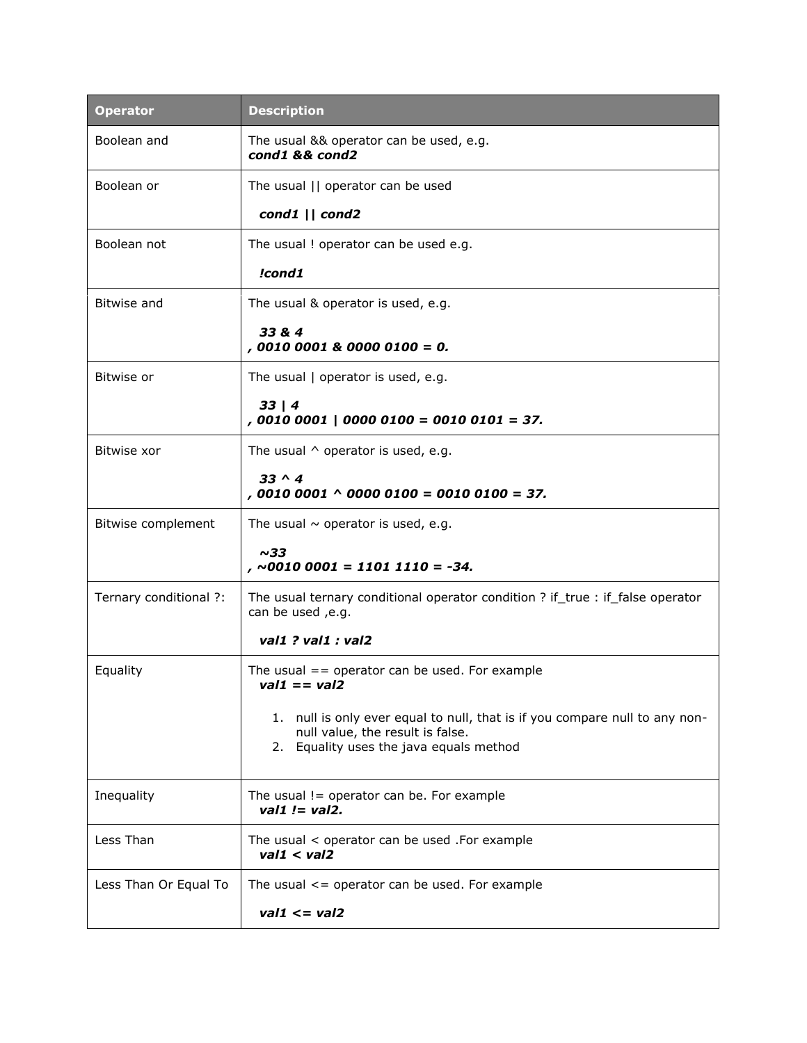| <b>Operator</b>        | <b>Description</b>                                                                                                                                         |
|------------------------|------------------------------------------------------------------------------------------------------------------------------------------------------------|
| Boolean and            | The usual && operator can be used, e.g.<br>cond1 && cond2                                                                                                  |
| Boolean or             | The usual    operator can be used                                                                                                                          |
|                        | cond1    cond2                                                                                                                                             |
| Boolean not            | The usual ! operator can be used e.g.                                                                                                                      |
|                        | !cond1                                                                                                                                                     |
| Bitwise and            | The usual & operator is used, e.g.                                                                                                                         |
|                        | 33 & 4<br>$,00100001800000100 = 0.$                                                                                                                        |
| Bitwise or             | The usual   operator is used, e.g.                                                                                                                         |
|                        | 33   4<br>$,00100001   00000100 = 00100101 = 37.$                                                                                                          |
| Bitwise xor            | The usual $\wedge$ operator is used, e.g.                                                                                                                  |
|                        | $33 \wedge 4$<br>$,00100001 \land 00000100 = 00100100 = 37.$                                                                                               |
| Bitwise complement     | The usual $\sim$ operator is used, e.g.                                                                                                                    |
|                        | ~1sim33<br>$, \sim$ 0010 0001 = 1101 1110 = -34.                                                                                                           |
| Ternary conditional ?: | The usual ternary conditional operator condition ? if_true : if_false operator<br>can be used , e.g.                                                       |
|                        | val1 ? val1 : val2                                                                                                                                         |
| Equality               | The usual $=$ operator can be used. For example<br>$vall == val2$                                                                                          |
|                        | 1. null is only ever equal to null, that is if you compare null to any non-<br>null value, the result is false.<br>2. Equality uses the java equals method |
| Inequality             | The usual $!=$ operator can be. For example<br>val1 $!=$ val2.                                                                                             |
| Less Than              | The usual $\lt$ operator can be used . For example<br>val1 < val2                                                                                          |
| Less Than Or Equal To  | The usual $\leq$ operator can be used. For example                                                                                                         |
|                        | $val1 \leq val2$                                                                                                                                           |